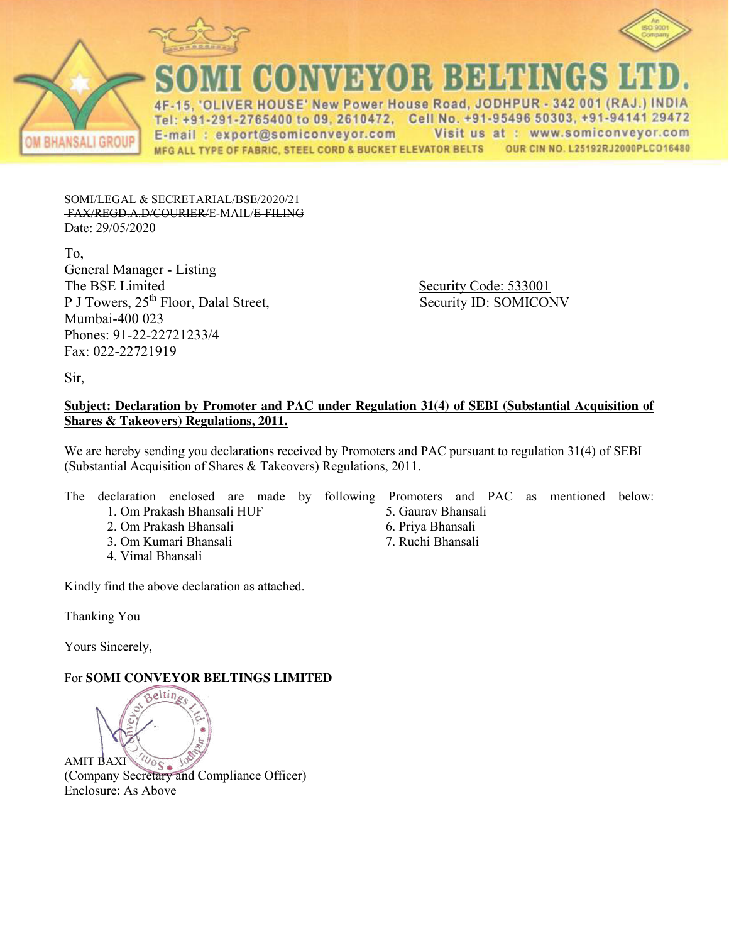



CONVEYOR BELTINGS

4F-15, 'OLIVER HOUSE' New Power House Road, JODHPUR - 342 001 (RAJ.) INDIA Tel: +91-291-2765400 to 09, 2610472, Cell No. +91-95496 50303, +91-94141 29472 Visit us at : www.somiconveyor.com E-mail: export@somiconveyor.com OUR CIN NO. L25192RJ2000PLCO16480 MFG ALL TYPE OF FABRIC, STEEL CORD & BUCKET ELEVATOR BELTS

SOMI/LEGAL & SECRETARIAL/BSE/2020/21 FAX/REGD.A.D/COURIER/E-MAIL/E-FILING Date: 29/05/2020

To, General Manager - Listing The BSE Limited Security Code: 533001 P J Towers,  $25<sup>th</sup>$  Floor, Dalal Street, Security ID: SOMICONV Mumbai-400 023 Phones: 91-22-22721233/4 Fax: 022-22721919

Sir,

#### **Subject: Declaration by Promoter and PAC under Regulation 31(4) of SEBI (Substantial Acquisition of Shares & Takeovers) Regulations, 2011.**

We are hereby sending you declarations received by Promoters and PAC pursuant to regulation 31(4) of SEBI (Substantial Acquisition of Shares & Takeovers) Regulations, 2011.

The declaration enclosed are made by following Promoters and PAC as mentioned below:

- 1. Om Prakash Bhansali HUF
- 2. Om Prakash Bhansali
- 3. Om Kumari Bhansali
- 4. Vimal Bhansali

Kindly find the above declaration as attached.

Thanking You

Yours Sincerely,

## For **SOMI CONVEYOR BELTINGS LIMITED**



- 5. Gaurav Bhansali
- 6. Priya Bhansali
- 7. Ruchi Bhansali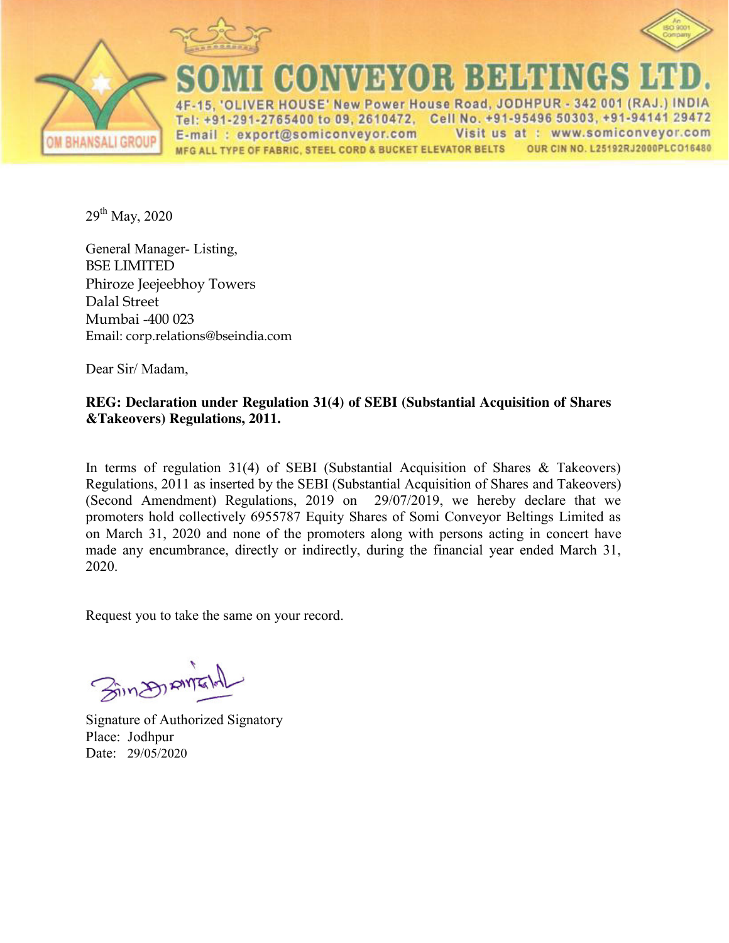

A BHANSALI GROUP



**MEXICO 1: 1:4 DE MEDIA** 

'OLIVER HOUSE' New Power House Road, JODHPUR - 342 001 (RAJ.) INDIA Tel: +91-291-2765400 to 09, 2610472, Cell No. +91-95496 50303, +91-94141 29472 E-mail: export@somiconveyor.com Visit us at : www.somiconveyor.com MFG ALL TYPE OF FABRIC, STEEL CORD & BUCKET ELEVATOR BELTS OUR CIN NO. L25192RJ2000PLCO16480

 $29^{th}$  May, 2020

General Manager- Listing, BSE LIMITED Phiroze Jeejeebhoy Towers Dalal Street Mumbai -400 023 Email: corp.relations@bseindia.com

Dear Sir/ Madam,

#### **REG: Declaration under Regulation 31(4) of SEBI (Substantial Acquisition of Shares &Takeovers) Regulations, 2011.**

In terms of regulation 31(4) of SEBI (Substantial Acquisition of Shares & Takeovers) Regulations, 2011 as inserted by the SEBI (Substantial Acquisition of Shares and Takeovers) (Second Amendment) Regulations, 2019 on 29/07/2019, we hereby declare that we promoters hold collectively 6955787 Equity Shares of Somi Conveyor Beltings Limited as on March 31, 2020 and none of the promoters along with persons acting in concert have made any encumbrance, directly or indirectly, during the financial year ended March 31, 2020.

Request you to take the same on your record.

SinDIRM

Signature of Authorized Signatory Place: Jodhpur Date: 29/05/2020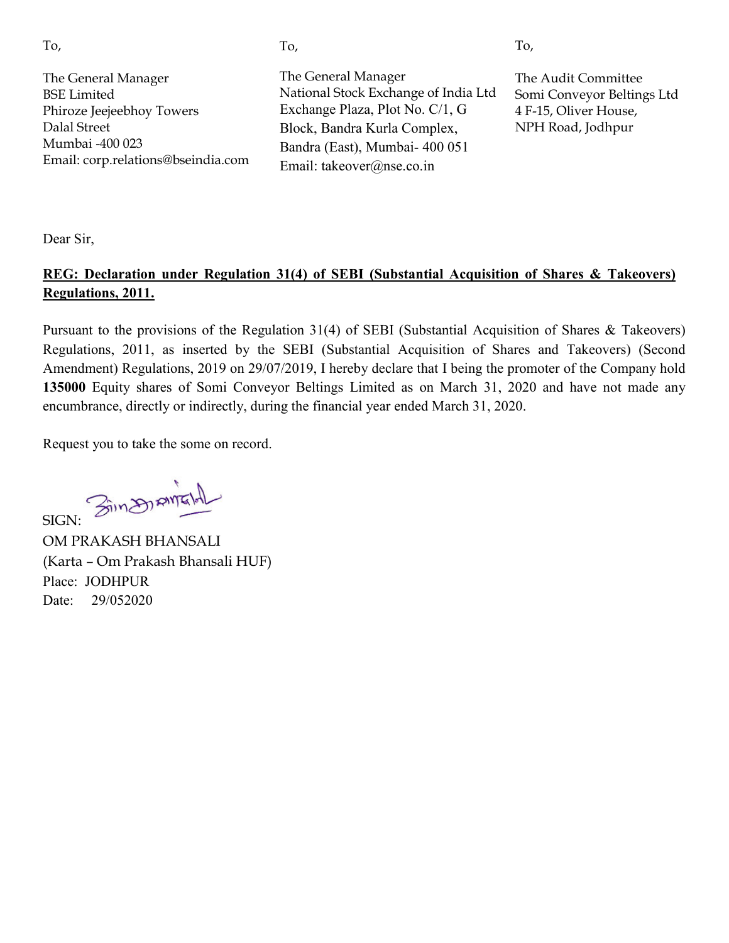| I<br>٦<br>w<br>۰,<br>×. |
|-------------------------|

The General Manager National Stock Exchange of India Ltd Exchange Plaza, Plot No. C/1, G Block, Bandra Kurla Complex, Bandra (East), Mumbai- 400 051 Email: takeover@nse.co.in

The Audit Committee Somi Conveyor Beltings Ltd 4 F-15, Oliver House, NPH Road, Jodhpur

To,

Dear Sir,

#### **REG: Declaration under Regulation 31(4) of SEBI (Substantial Acquisition of Shares & Takeovers) Regulations, 2011.**

Pursuant to the provisions of the Regulation 31(4) of SEBI (Substantial Acquisition of Shares & Takeovers) Regulations, 2011, as inserted by the SEBI (Substantial Acquisition of Shares and Takeovers) (Second Amendment) Regulations, 2019 on 29/07/2019, I hereby declare that I being the promoter of the Company hold **135000** Equity shares of Somi Conveyor Beltings Limited as on March 31, 2020 and have not made any encumbrance, directly or indirectly, during the financial year ended March 31, 2020.

Request you to take the some on record.

SIGN: Singsportant

OM PRAKASH BHANSALI (Karta – Om Prakash Bhansali HUF) Place: JODHPUR Date: 29/052020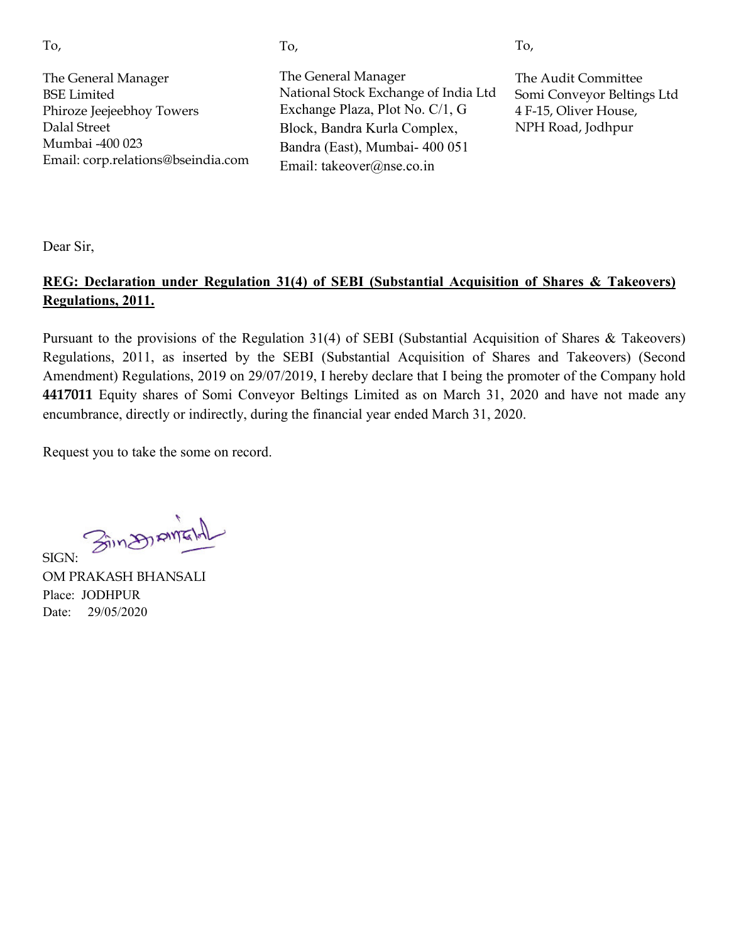To,

The General Manager BSE Limited Phiroze Jeejeebhoy Towers Dalal Street Mumbai -400 023 Email: corp.relations@bseindia.com The General Manager National Stock Exchange of India Ltd Exchange Plaza, Plot No. C/1, G Block, Bandra Kurla Complex, Bandra (East), Mumbai- 400 051 Email: takeover@nse.co.in

The Audit Committee Somi Conveyor Beltings Ltd 4 F-15, Oliver House, NPH Road, Jodhpur

To,

Dear Sir,

# **REG: Declaration under Regulation 31(4) of SEBI (Substantial Acquisition of Shares & Takeovers) Regulations, 2011.**

Pursuant to the provisions of the Regulation 31(4) of SEBI (Substantial Acquisition of Shares & Takeovers) Regulations, 2011, as inserted by the SEBI (Substantial Acquisition of Shares and Takeovers) (Second Amendment) Regulations, 2019 on 29/07/2019, I hereby declare that I being the promoter of the Company hold **4417011** Equity shares of Somi Conveyor Beltings Limited as on March 31, 2020 and have not made any encumbrance, directly or indirectly, during the financial year ended March 31, 2020.

Request you to take the some on record.

SIGN: 3in 201 AMENT

OM PRAKASH BHANSALI Place: JODHPUR Date: 29/05/2020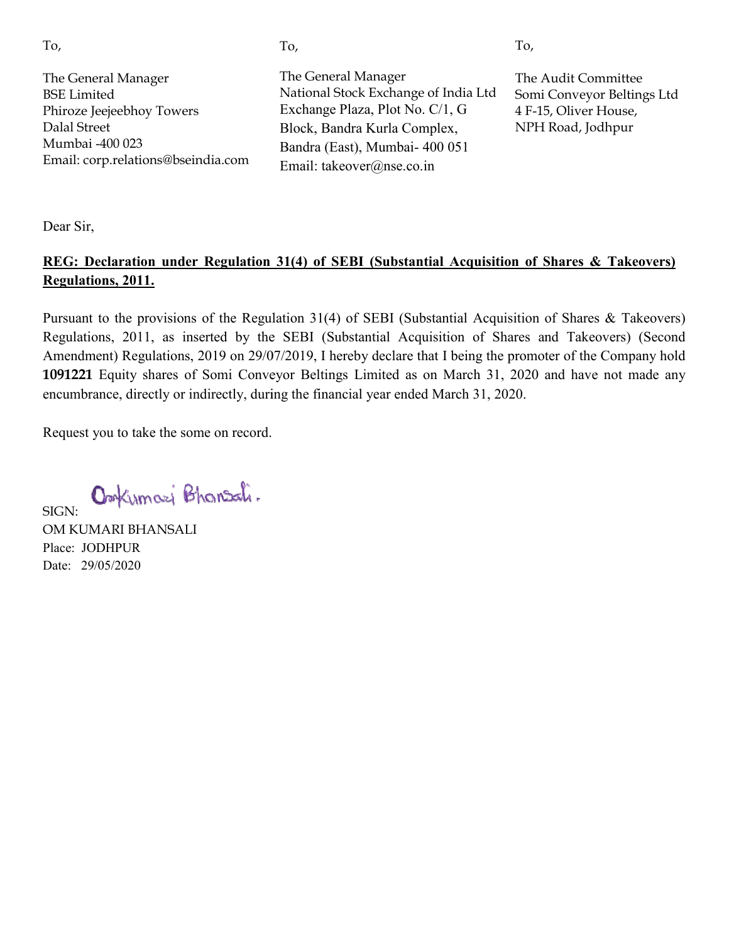| ٦<br>w<br>۰,<br>×. |
|--------------------|

The General Manager National Stock Exchange of India Ltd Exchange Plaza, Plot No. C/1, G Block, Bandra Kurla Complex, Bandra (East), Mumbai- 400 051 Email: takeover@nse.co.in

The Audit Committee Somi i Conveyor Beltings Ltd 4 F-15 15, Oliver House, NPH H Road, Jodhpur

To,

Dear Sir,

### **REG: Declaration under Regulation 31(4) of SEBI (Substantial Acquisition of Shares & Takeovers) Regulations, 2011.**

Pursuant to the provisions of the Regulation  $31(4)$  of SEBI (Substantial Acquisition of Shares & Takeovers) Regulations, 2011, as inserted by the SEBI (Substantial Acquisition of Shares and Takeovers) (Second Amendment) Regulations, 2019 on 29/07/2019, I hereby declare that I being the promoter of the Company hold 1091221 Equity shares of Somi Conveyor Beltings Limited as on March 31, 2020 and have not made any encumbrance, directly or indirectly, during the financial year ended March 31, 2020. The Audit Committee<br>
National Stock Exchange Plaza, Plot No. C/1, G Somi Conveyor Beltin<br>
Exchange Plaza, Plot No. C/1, G 4 F-15, Oliver House,<br>
Block, Bandra Kurla Complex, NPH Road, Jodhpur<br>
Email: takeover@nse.co.in<br>
Em

Request you to take the some on record.

Omkumazi Bhansali.

SIGN: OM KUMARI BHANSALI Place: JODHPUR Date: 29/05/2020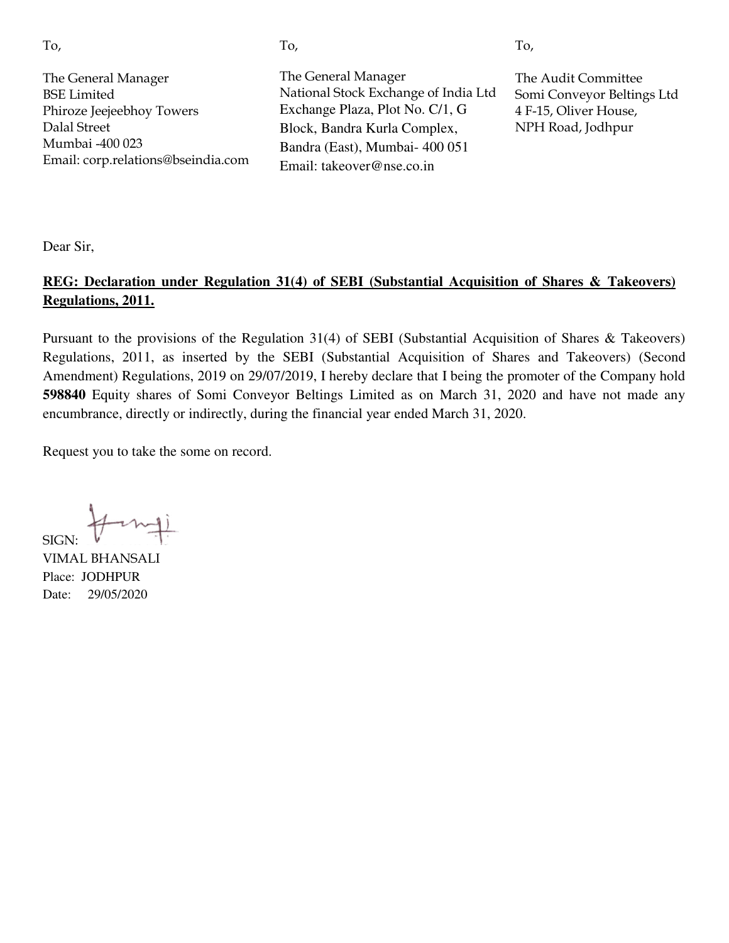To,

The General Manager BSE Limited Phiroze Jeejeebhoy Towers Dalal Street Mumbai -400 023 Email: corp.relations@bseindia.com The General Manager National Stock Exchange of India Ltd Exchange Plaza, Plot No. C/1, G Block, Bandra Kurla Complex, Bandra (East), Mumbai- 400 051 Email: takeover@nse.co.in

The Audit Committee Somi Conveyor Beltings Ltd 4 F-15, Oliver House, NPH Road, Jodhpur

To,

Dear Sir,

#### **REG: Declaration under Regulation 31(4) of SEBI (Substantial Acquisition of Shares & Takeovers) Regulations, 2011.**

Pursuant to the provisions of the Regulation 31(4) of SEBI (Substantial Acquisition of Shares & Takeovers) Regulations, 2011, as inserted by the SEBI (Substantial Acquisition of Shares and Takeovers) (Second Amendment) Regulations, 2019 on 29/07/2019, I hereby declare that I being the promoter of the Company hold **598840** Equity shares of Somi Conveyor Beltings Limited as on March 31, 2020 and have not made any encumbrance, directly or indirectly, during the financial year ended March 31, 2020.

Request you to take the some on record.

SIGN:

VIMAL BHANSALI Place: JODHPUR Date: 29/05/2020

To,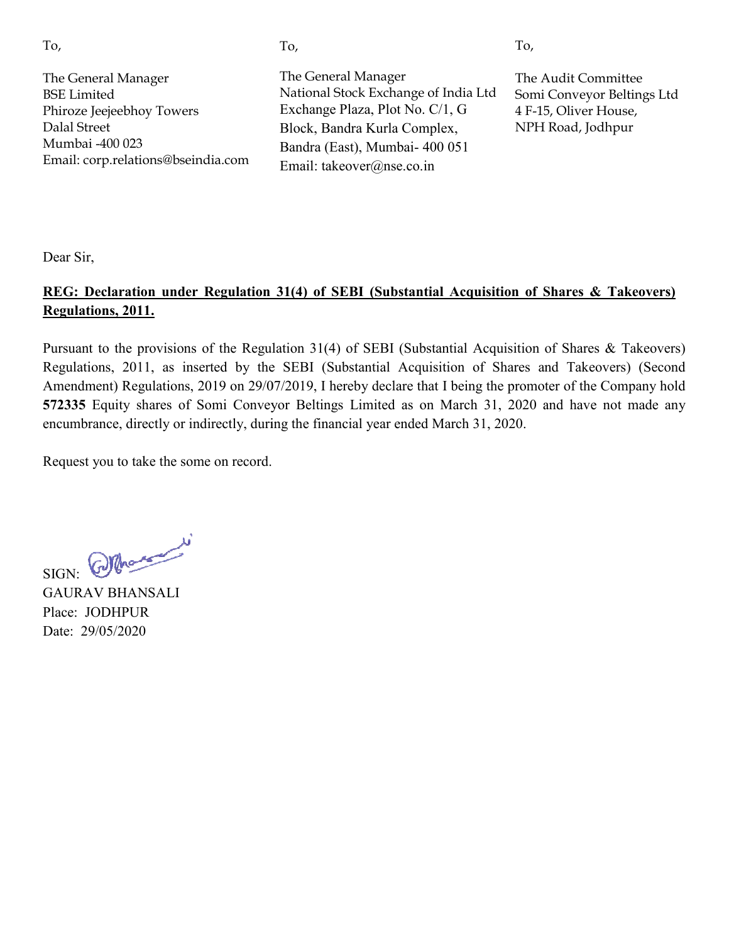| ×<br>٦        |
|---------------|
| w<br>۰,<br>×. |

The General Manager National Stock Exchange of India Ltd Exchange Plaza, Plot No. C/1, G Block, Bandra Kurla Complex, Bandra (East), Mumbai- 400 051 Email: takeover@nse.co.in

The Audit Committee Somi i Conveyor Beltings Ltd 4 F-15 15, Oliver House, NPH H Road, Jodhpur

To,

Dear Sir,

# **REG: Declaration under Regulation 31(4) of SEBI (Substantial Acquisition of Shares & Takeovers) Regulations, 2011.**

Pursuant to the provisions of the Regulation  $31(4)$  of SEBI (Substantial Acquisition of Shares & Takeovers) Regulations, 2011, as inserted by the SEBI (Substantial Acquisition of Shares and Takeovers) (Second Amendment) Regulations, 2019 on 29/07/2019, I hereby declare that I being the promoter of the Company hold **572335** Equity shares of Somi Conveyor Beltings Limited as on March 31, 2020 and have not made any encumbrance, directly or indirectly, during the financial year ended March 31, 2020. The Audit Committee<br>
National Stock Exchange Plata, Plot No. C/1, G<br>
Exchange Plata, Plot No. C/1, G<br>
Block, Bandra Kurla Complex, NPH Road, Jodhpur<br>
Block, Bandra Kurla Complex, NPH Road, Jodhpur<br>
Email: takeover@nse.co.i

Request you to take the some on record.

SIGN: Composed

GAURAV BHANSALI Place: JODHPUR Date: 29/05/2020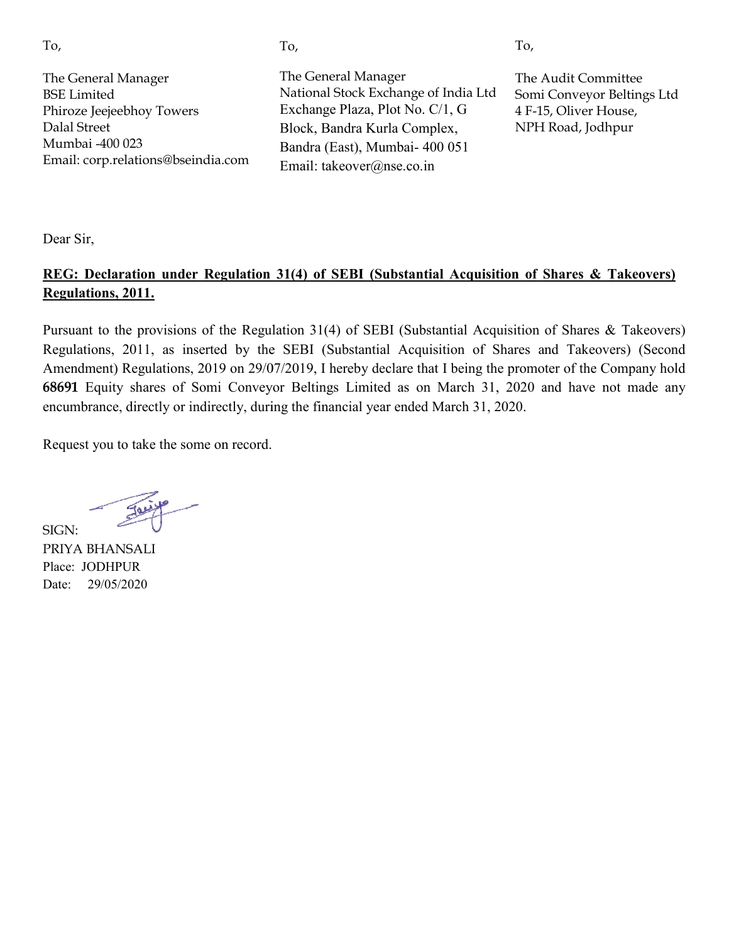| I<br>٦<br>w<br>۰,<br>×. |
|-------------------------|

The General Manager National Stock Exchange of India Ltd Exchange Plaza, Plot No. C/1, G Block, Bandra Kurla Complex, Bandra (East), Mumbai- 400 051 Email: takeover@nse.co.in

The Audit Committee Somi i Conveyor Beltings Ltd 4 F-15 15, Oliver House, NPH H Road, Jodhpur

To,

Dear Sir,

### **REG: Declaration under Regulation 31(4) of SEBI (Substantial Acquisition of Shares & Takeovers) Regulations, 2011.**

Pursuant to the provisions of the Regulation  $31(4)$  of SEBI (Substantial Acquisition of Shares & Takeovers) Regulations, 2011, as inserted by the SEBI (Substantial Acquisition of Shares and Takeovers) (Second Amendment) Regulations, 2019 on 29/07/2019, I hereby declare that I being the promoter of the Company hold 68691 Equity shares of Somi Conveyor Beltings Limited as on March 31, 2020 and have not made any encumbrance, directly or indirectly, during the financial year ended March 31, 2020. The Audit Committee<br>
National Stock Exchange Plaza, Plot No. C/1, G<br>
Exchange Plaza, Plot No. C/1, G<br>
Block, Bandra Kurla Complex,<br>
Block, Bandra Kurla Complex,<br>
Block, Bandra (East), Mumbai- 400 051<br>
Email: takeover@nse.c

Request you to take the some on record.

SIGN: PRIYA BHANSALI Place: JODHPUR Date: 29/05/2020